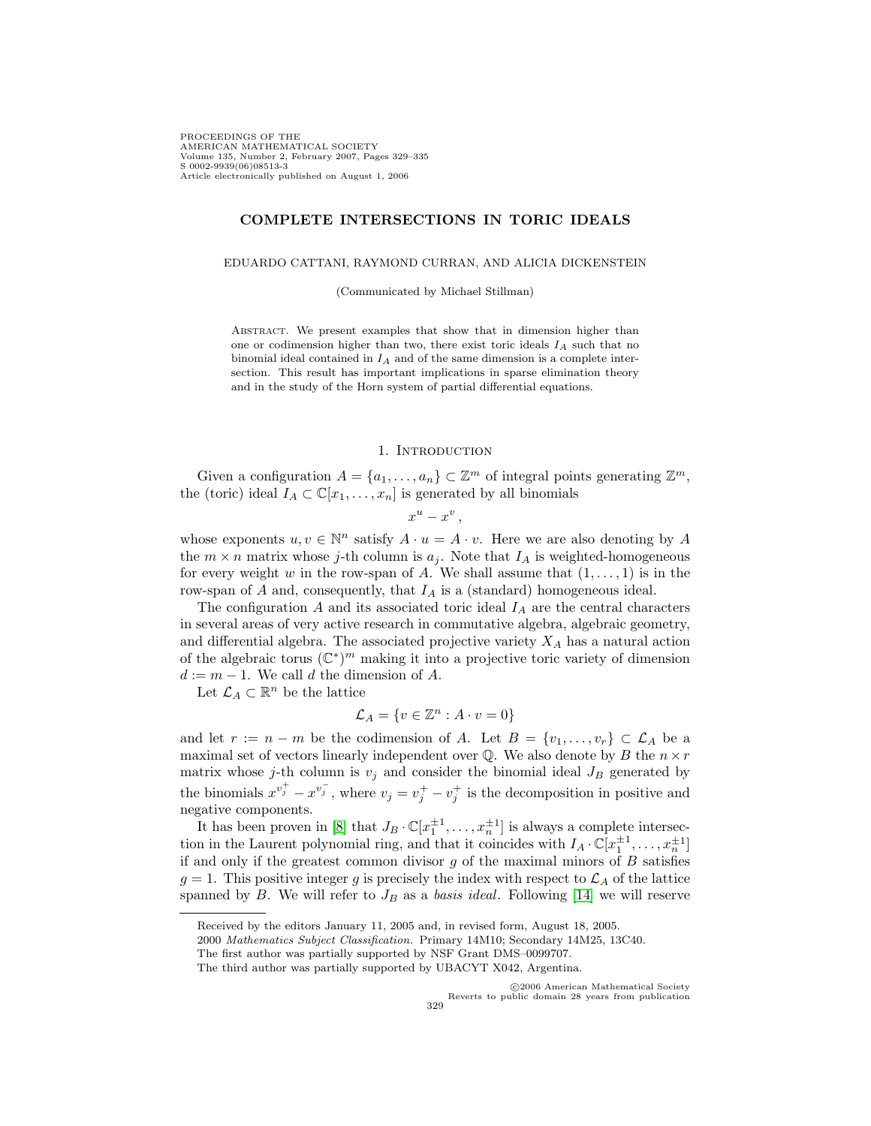PROCEEDINGS OF THE AMERICAN MATHEMATICAL SOCIETY Volume 135, Number 2, February 2007, Pages 329–335 S 0002-9939(06)08513-3 Article electronically published on August 1, 2006

## **COMPLETE INTERSECTIONS IN TORIC IDEALS**

#### EDUARDO CATTANI, RAYMOND CURRAN, AND ALICIA DICKENSTEIN

(Communicated by Michael Stillman)

Abstract. We present examples that show that in dimension higher than one or codimension higher than two, there exist toric ideals  $I_A$  such that no binomial ideal contained in  $I_A$  and of the same dimension is a complete intersection. This result has important implications in sparse elimination theory and in the study of the Horn system of partial differential equations.

## 1. INTRODUCTION

Given a configuration  $A = \{a_1, \ldots, a_n\} \subset \mathbb{Z}^m$  of integral points generating  $\mathbb{Z}^m$ , the (toric) ideal  $I_A \subset \mathbb{C}[x_1,\ldots,x_n]$  is generated by all binomials

 $x^u - x^v$ .

whose exponents  $u, v \in \mathbb{N}^n$  satisfy  $A \cdot u = A \cdot v$ . Here we are also denoting by A the  $m \times n$  matrix whose j-th column is  $a_i$ . Note that  $I_A$  is weighted-homogeneous for every weight w in the row-span of A. We shall assume that  $(1,\ldots,1)$  is in the row-span of  $A$  and, consequently, that  $I_A$  is a (standard) homogeneous ideal.

The configuration  $A$  and its associated toric ideal  $I_A$  are the central characters in several areas of very active research in commutative algebra, algebraic geometry, and differential algebra. The associated projective variety  $X_A$  has a natural action of the algebraic torus  $(\mathbb{C}^*)^m$  making it into a projective toric variety of dimension  $d := m - 1$ . We call d the dimension of A.

Let  $\mathcal{L}_A \subset \mathbb{R}^n$  be the lattice

$$
\mathcal{L}_A = \{ v \in \mathbb{Z}^n : A \cdot v = 0 \}
$$

and let  $r := n - m$  be the codimension of A. Let  $B = \{v_1, \ldots, v_r\} \subset \mathcal{L}_A$  be a maximal set of vectors linearly independent over  ${\mathbb Q}.$  We also denote by  $B$  the  $n \times r$ matrix whose j-th column is  $v_j$  and consider the binomial ideal  $J_B$  generated by the binomials  $x^{v_j^+} - x^{v_j^-}$ , where  $v_j = v_j^+ - v_j^+$  is the decomposition in positive and negative components.

It has been proven in [\[8\]](#page-6-0) that  $J_B \cdot \mathbb{C}[x_1^{\pm 1}, \ldots, x_n^{\pm 1}]$  is always a complete intersection in the Laurent polynomial ring, and that it coincides with  $I_A \cdot \mathbb{C}[x_1^{\pm 1}, \ldots, x_n^{\pm 1}]$ if and only if the greatest common divisor  $g$  of the maximal minors of  $B$  satisfies  $g = 1$ . This positive integer g is precisely the index with respect to  $\mathcal{L}_A$  of the lattice spanned by B. We will refer to  $J_B$  as a basis ideal. Following [\[14\]](#page-6-1) we will reserve

Received by the editors January 11, 2005 and, in revised form, August 18, 2005.

<sup>2000</sup> Mathematics Subject Classification. Primary 14M10; Secondary 14M25, 13C40.

The first author was partially supported by NSF Grant DMS–0099707.

The third author was partially supported by UBACYT X042, Argentina.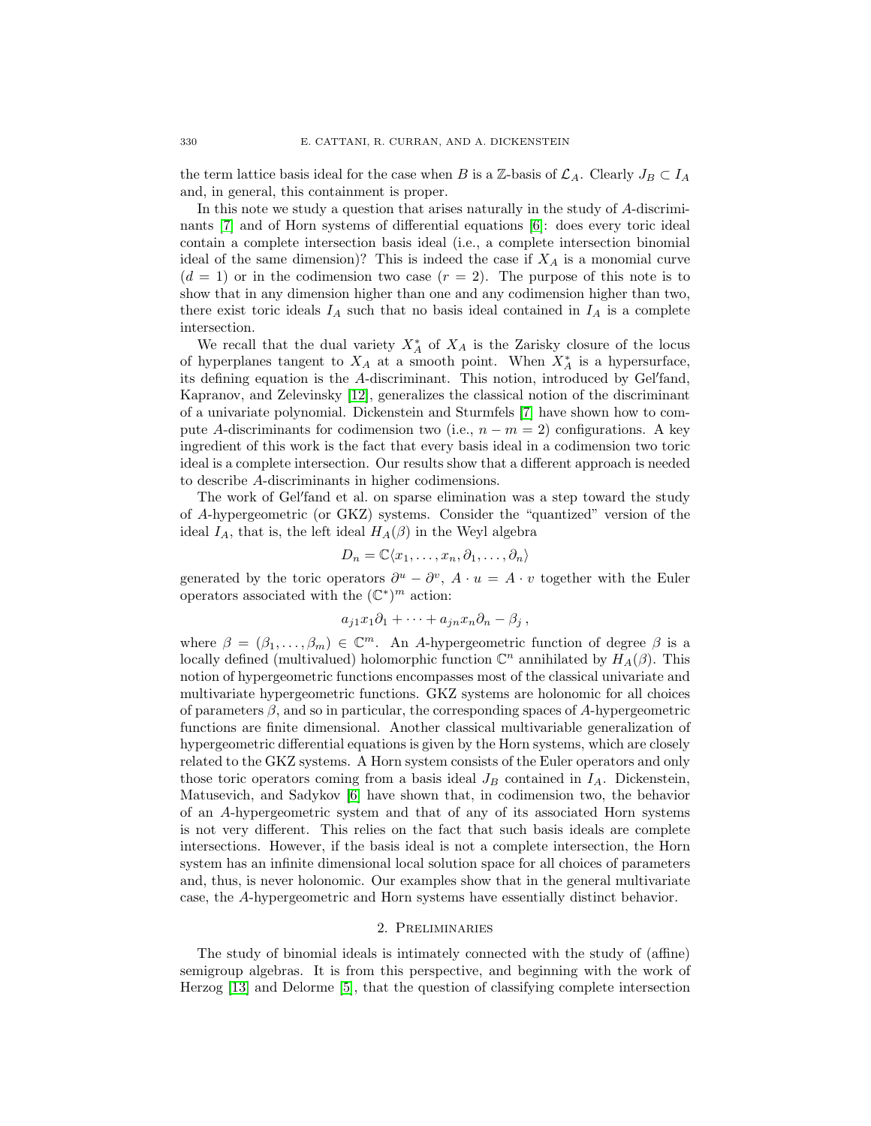the term lattice basis ideal for the case when B is a Z-basis of  $\mathcal{L}_A$ . Clearly  $J_B \subset I_A$ and, in general, this containment is proper.

In this note we study a question that arises naturally in the study of A-discriminants [\[7\]](#page-5-0) and of Horn systems of differential equations [\[6\]](#page-5-1): does every toric ideal contain a complete intersection basis ideal (i.e., a complete intersection binomial ideal of the same dimension)? This is indeed the case if  $X_A$  is a monomial curve  $(d = 1)$  or in the codimension two case  $(r = 2)$ . The purpose of this note is to show that in any dimension higher than one and any codimension higher than two, there exist toric ideals  $I_A$  such that no basis ideal contained in  $I_A$  is a complete intersection.

We recall that the dual variety  $X_A^*$  of  $X_A$  is the Zarisky closure of the locus of hyperplanes tangent to  $X_A$  at a smooth point. When  $X_A^*$  is a hypersurface, its defining equation is the A-discriminant. This notion, introduced by Gel'fand, Kapranov, and Zelevinsky [\[12\]](#page-6-2), generalizes the classical notion of the discriminant of a univariate polynomial. Dickenstein and Sturmfels [\[7\]](#page-5-0) have shown how to compute A-discriminants for codimension two (i.e.,  $n - m = 2$ ) configurations. A key ingredient of this work is the fact that every basis ideal in a codimension two toric ideal is a complete intersection. Our results show that a different approach is needed to describe A-discriminants in higher codimensions.

The work of Gel'fand et al. on sparse elimination was a step toward the study of A-hypergeometric (or GKZ) systems. Consider the "quantized" version of the ideal  $I_A$ , that is, the left ideal  $H_A(\beta)$  in the Weyl algebra

$$
D_n = \mathbb{C}\langle x_1, \ldots, x_n, \partial_1, \ldots, \partial_n \rangle
$$

generated by the toric operators  $\partial^u - \partial^v$ ,  $A \cdot u = A \cdot v$  together with the Euler operators associated with the  $(\mathbb{C}^*)^m$  action:

$$
a_{j1}x_1\partial_1+\cdots+a_{jn}x_n\partial_n-\beta_j,
$$

where  $\beta = (\beta_1, \ldots, \beta_m) \in \mathbb{C}^m$ . An A-hypergeometric function of degree  $\beta$  is a locally defined (multivalued) holomorphic function  $\mathbb{C}^n$  annihilated by  $H_A(\beta)$ . This notion of hypergeometric functions encompasses most of the classical univariate and multivariate hypergeometric functions. GKZ systems are holonomic for all choices of parameters  $\beta$ , and so in particular, the corresponding spaces of A-hypergeometric functions are finite dimensional. Another classical multivariable generalization of hypergeometric differential equations is given by the Horn systems, which are closely related to the GKZ systems. A Horn system consists of the Euler operators and only those toric operators coming from a basis ideal  $J_B$  contained in  $I_A$ . Dickenstein, Matusevich, and Sadykov [\[6\]](#page-5-1) have shown that, in codimension two, the behavior of an A-hypergeometric system and that of any of its associated Horn systems is not very different. This relies on the fact that such basis ideals are complete intersections. However, if the basis ideal is not a complete intersection, the Horn system has an infinite dimensional local solution space for all choices of parameters and, thus, is never holonomic. Our examples show that in the general multivariate case, the A-hypergeometric and Horn systems have essentially distinct behavior.

## 2. Preliminaries

The study of binomial ideals is intimately connected with the study of (affine) semigroup algebras. It is from this perspective, and beginning with the work of Herzog [\[13\]](#page-6-3) and Delorme [\[5\]](#page-5-2), that the question of classifying complete intersection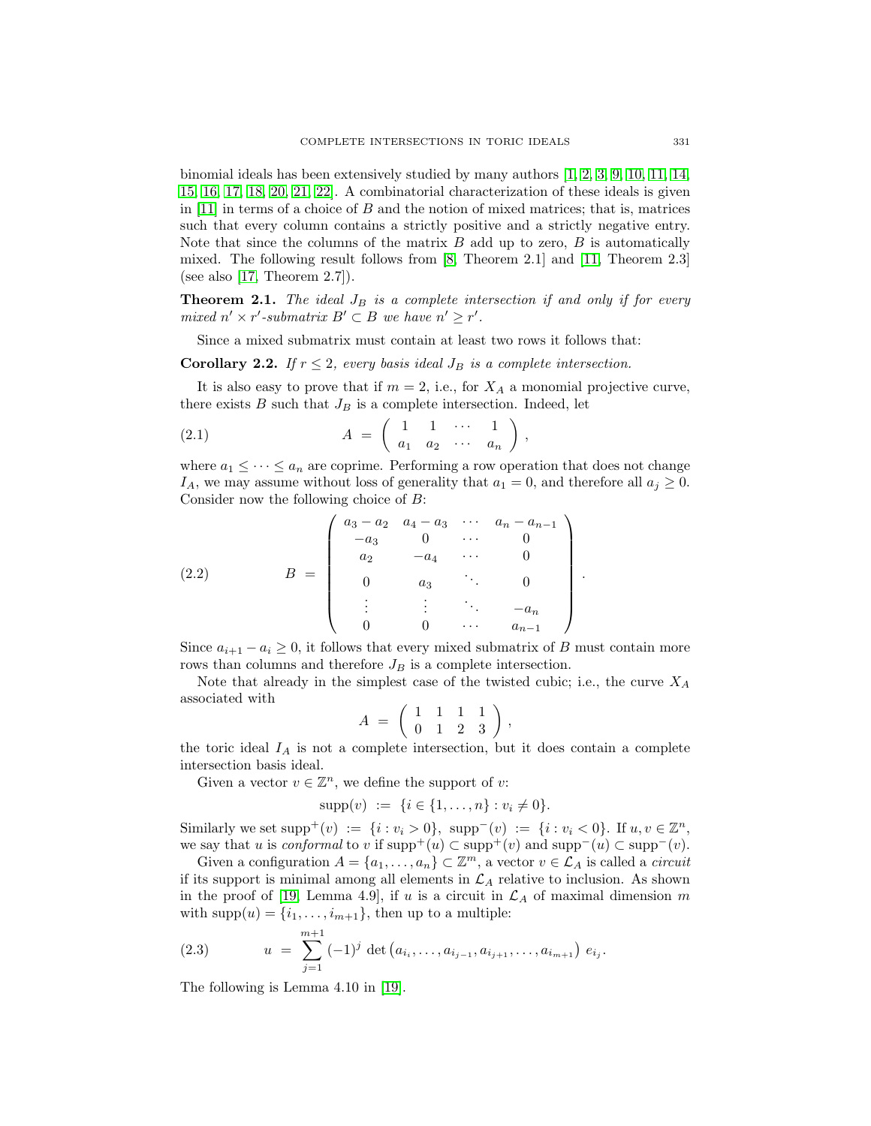binomial ideals has been extensively studied by many authors [\[1,](#page-5-3) [2,](#page-5-4) [3,](#page-5-5) [9,](#page-6-4) [10,](#page-6-5) [11,](#page-6-6) [14,](#page-6-1) [15,](#page-6-7) [16,](#page-6-8) [17,](#page-6-9) [18,](#page-6-10) [20,](#page-6-11) [21,](#page-6-12) [22\]](#page-6-13). A combinatorial characterization of these ideals is given in  $[11]$  in terms of a choice of  $B$  and the notion of mixed matrices; that is, matrices such that every column contains a strictly positive and a strictly negative entry. Note that since the columns of the matrix  $B$  add up to zero,  $B$  is automatically mixed. The following result follows from [\[8,](#page-6-0) Theorem 2.1] and [\[11,](#page-6-6) Theorem 2.3] (see also  $[17,$  Theorem 2.7]).

<span id="page-2-1"></span>**Theorem 2.1.** The ideal  $J_B$  is a complete intersection if and only if for every mixed  $n' \times r'$ -submatrix  $B' \subset B$  we have  $n' \geq r'$ .

Since a mixed submatrix must contain at least two rows it follows that:

**Corollary 2.2.** If  $r \leq 2$ , every basis ideal  $J_B$  is a complete intersection.

It is also easy to prove that if  $m = 2$ , i.e., for  $X_A$  a monomial projective curve, there exists  $B$  such that  $J_B$  is a complete intersection. Indeed, let

$$
(2.1) \qquad A = \left( \begin{array}{cccc} 1 & 1 & \cdots & 1 \\ a_1 & a_2 & \cdots & a_n \end{array} \right),
$$

where  $a_1 \leq \cdots \leq a_n$  are coprime. Performing a row operation that does not change  $I_A$ , we may assume without loss of generality that  $a_1 = 0$ , and therefore all  $a_j \geq 0$ . Consider now the following choice of B:

(2.2) 
$$
B = \begin{pmatrix} a_3 - a_2 & a_4 - a_3 & \cdots & a_n - a_{n-1} \\ -a_3 & 0 & \cdots & 0 \\ a_2 & -a_4 & \cdots & 0 \\ 0 & a_3 & \ddots & 0 \\ \vdots & \vdots & \ddots & -a_n \\ 0 & 0 & \cdots & a_{n-1} \end{pmatrix}
$$

Since  $a_{i+1} - a_i \geq 0$ , it follows that every mixed submatrix of B must contain more rows than columns and therefore  $J_B$  is a complete intersection.

.

Note that already in the simplest case of the twisted cubic; i.e., the curve  $X_A$ associated with

$$
A = \left(\begin{array}{rrr} 1 & 1 & 1 & 1 \\ 0 & 1 & 2 & 3 \end{array}\right),
$$

the toric ideal  $I_A$  is not a complete intersection, but it does contain a complete intersection basis ideal.

Given a vector  $v \in \mathbb{Z}^n$ , we define the support of v:

<span id="page-2-2"></span> $supp(v) := \{i \in \{1, ..., n\} : v_i \neq 0\}.$ 

Similarly we set  $\text{supp}^+(v) := \{i : v_i > 0\}$ ,  $\text{supp}^-(v) := \{i : v_i < 0\}$ . If  $u, v \in \mathbb{Z}^n$ , we say that u is conformal to v if  $\text{supp}^+(u) \subset \text{supp}^+(v)$  and  $\text{supp}^-(u) \subset \text{supp}^-(v)$ .

Given a configuration  $A = \{a_1, \ldots, a_n\} \subset \mathbb{Z}^m$ , a vector  $v \in \mathcal{L}_A$  is called a *circuit* if its support is minimal among all elements in  $\mathcal{L}_A$  relative to inclusion. As shown in the proof of [\[19,](#page-6-14) Lemma 4.9], if u is a circuit in  $\mathcal{L}_A$  of maximal dimension m with  $\text{supp}(u) = \{i_1, \ldots, i_{m+1}\}\$ , then up to a multiple:

(2.3) 
$$
u = \sum_{j=1}^{m+1} (-1)^j \det (a_{i_1}, \ldots, a_{i_{j-1}}, a_{i_{j+1}}, \ldots, a_{i_{m+1}}) e_{i_j}.
$$

<span id="page-2-0"></span>The following is Lemma 4.10 in [\[19\]](#page-6-14).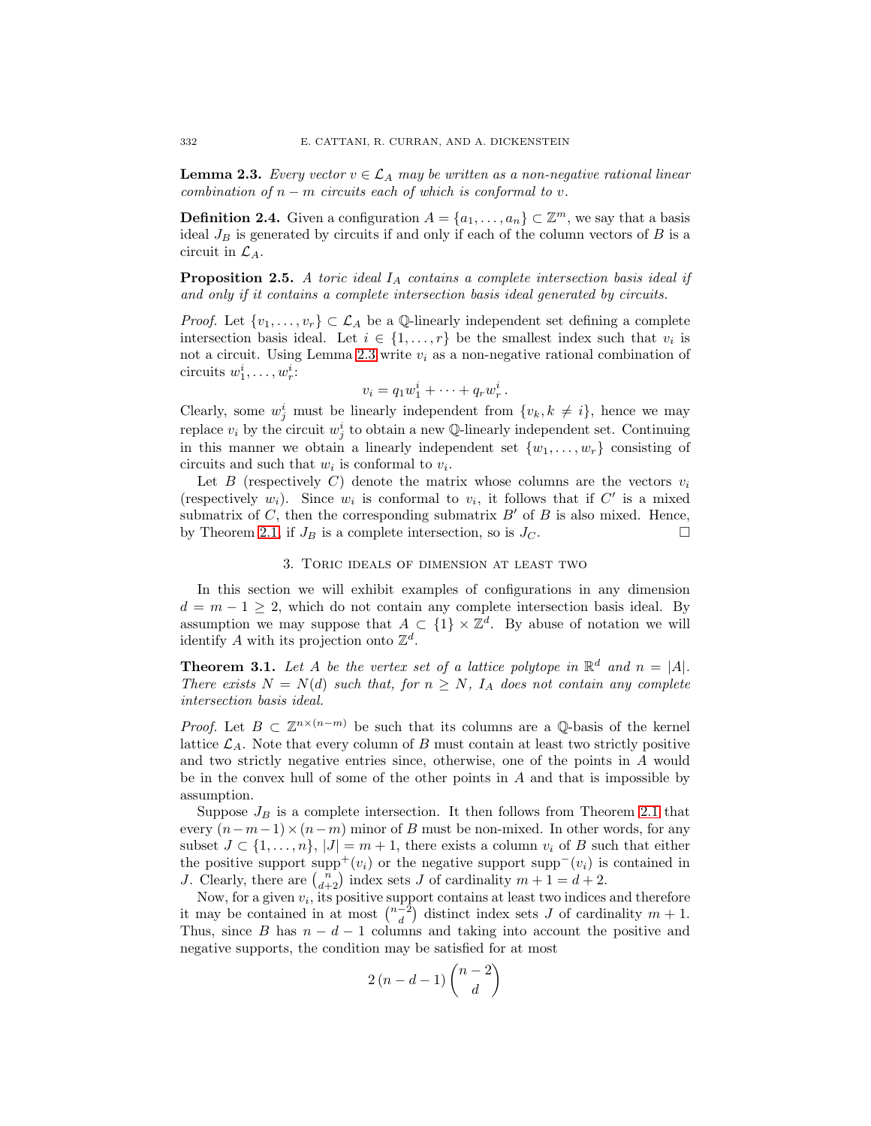**Lemma 2.3.** Every vector  $v \in \mathcal{L}_A$  may be written as a non-negative rational linear combination of  $n - m$  circuits each of which is conformal to v.

**Definition 2.4.** Given a configuration  $A = \{a_1, \ldots, a_n\} \subset \mathbb{Z}^m$ , we say that a basis ideal  $J_B$  is generated by circuits if and only if each of the column vectors of  $B$  is a circuit in  $\mathcal{L}_A$ .

<span id="page-3-1"></span>**Proposition 2.5.** A toric ideal  $I_A$  contains a complete intersection basis ideal if and only if it contains a complete intersection basis ideal generated by circuits.

*Proof.* Let  $\{v_1,\ldots,v_r\} \subset \mathcal{L}_A$  be a  $\mathbb Q$ -linearly independent set defining a complete intersection basis ideal. Let  $i \in \{1, ..., r\}$  be the smallest index such that  $v_i$  is not a circuit. Using Lemma [2.3](#page-2-0) write  $v_i$  as a non-negative rational combination of circuits  $w_1^i, \ldots, w_r^i$ :

$$
v_i = q_1 w_1^i + \cdots + q_r w_r^i.
$$

Clearly, some  $w_j^i$  must be linearly independent from  $\{v_k, k \neq i\}$ , hence we may replace  $v_i$  by the circuit  $w_j^i$  to obtain a new Q-linearly independent set. Continuing in this manner we obtain a linearly independent set  $\{w_1, \ldots, w_r\}$  consisting of circuits and such that  $w_i$  is conformal to  $v_i$ .

Let B (respectively C) denote the matrix whose columns are the vectors  $v_i$ (respectively  $w_i$ ). Since  $w_i$  is conformal to  $v_i$ , it follows that if  $C'$  is a mixed submatrix of C, then the corresponding submatrix  $B'$  of B is also mixed. Hence, by Theorem [2.1,](#page-2-1) if  $J_B$  is a complete intersection, so is  $J_C$ .

# 3. Toric ideals of dimension at least two

In this section we will exhibit examples of configurations in any dimension  $d = m - 1 \geq 2$ , which do not contain any complete intersection basis ideal. By assumption we may suppose that  $A \subset \{1\} \times \mathbb{Z}^d$ . By abuse of notation we will identify A with its projection onto  $\mathbb{Z}^d$ .

<span id="page-3-0"></span>**Theorem 3.1.** Let A be the vertex set of a lattice polytope in  $\mathbb{R}^d$  and  $n = |A|$ . There exists  $N = N(d)$  such that, for  $n \geq N$ ,  $I_A$  does not contain any complete intersection basis ideal.

*Proof.* Let  $B \subset \mathbb{Z}^{n \times (n-m)}$  be such that its columns are a Q-basis of the kernel lattice  $\mathcal{L}_A$ . Note that every column of B must contain at least two strictly positive and two strictly negative entries since, otherwise, one of the points in A would be in the convex hull of some of the other points in  $A$  and that is impossible by assumption.

Suppose  $J_B$  is a complete intersection. It then follows from Theorem [2.1](#page-2-1) that every  $(n-m-1)\times(n-m)$  minor of B must be non-mixed. In other words, for any subset  $J \subset \{1,\ldots,n\}, |J| = m+1$ , there exists a column  $v_i$  of B such that either the positive support supp<sup>+</sup>(v<sub>i</sub>) or the negative support supp<sup>-</sup>(v<sub>i</sub>) is contained in J. Clearly, there are  $\binom{n}{d+2}$  index sets J of cardinality  $m + 1 = d + 2$ .

Now, for a given  $v_i$ , its positive support contains at least two indices and therefore it may be contained in at most  $\binom{n-2}{d}$  distinct index sets J of cardinality  $m+1$ . Thus, since B has  $n - d - 1$  columns and taking into account the positive and negative supports, the condition may be satisfied for at most

$$
2(n-d-1)\binom{n-2}{d}
$$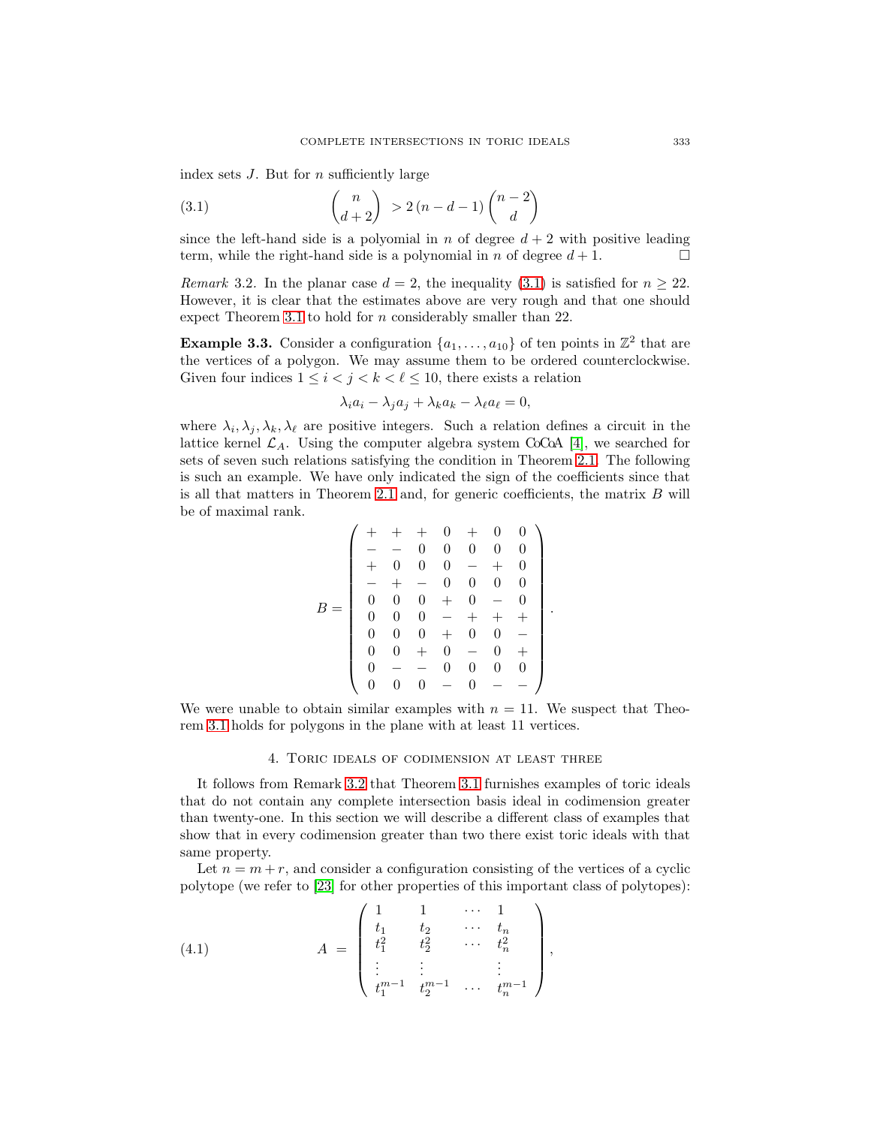<span id="page-4-0"></span>index sets  $J$ . But for  $n$  sufficiently large

$$
\binom{n}{d+2} > 2\left(n-d-1\right)\binom{n-2}{d}
$$

since the left-hand side is a polyomial in n of degree  $d + 2$  with positive leading term, while the right-hand side is a polynomial in n of degree  $d+1$ .

<span id="page-4-1"></span>Remark 3.2. In the planar case  $d = 2$ , the inequality [\(3.1\)](#page-4-0) is satisfied for  $n \geq 22$ . However, it is clear that the estimates above are very rough and that one should expect Theorem [3.1](#page-3-0) to hold for n considerably smaller than 22.

**Example 3.3.** Consider a configuration  $\{a_1, \ldots, a_{10}\}$  of ten points in  $\mathbb{Z}^2$  that are the vertices of a polygon. We may assume them to be ordered counterclockwise. Given four indices  $1 \leq i < j < k < \ell \leq 10$ , there exists a relation

$$
\lambda_i a_i - \lambda_j a_j + \lambda_k a_k - \lambda_\ell a_\ell = 0,
$$

where  $\lambda_i, \lambda_j, \lambda_k, \lambda_\ell$  are positive integers. Such a relation defines a circuit in the lattice kernel  $\mathcal{L}_A$ . Using the computer algebra system CoCoA [\[4\]](#page-5-6), we searched for sets of seven such relations satisfying the condition in Theorem [2.1.](#page-2-1) The following is such an example. We have only indicated the sign of the coefficients since that is all that matters in Theorem [2.1](#page-2-1) and, for generic coefficients, the matrix  $B$  will be of maximal rank.

$$
B = \left(\begin{array}{cccccc} + & + & + & 0 & + & 0 & 0 \\ - & - & 0 & 0 & 0 & 0 & 0 \\ + & 0 & 0 & 0 & - & + & 0 \\ - & + & - & 0 & 0 & 0 & 0 \\ 0 & 0 & 0 & + & 0 & - & 0 \\ 0 & 0 & 0 & - & + & + & + \\ 0 & 0 & 0 & + & 0 & 0 & - \\ 0 & 0 & + & 0 & - & 0 & + \\ 0 & - & - & 0 & 0 & 0 & 0 \\ 0 & 0 & 0 & - & 0 & - & - \end{array}\right)
$$

<span id="page-4-2"></span>.

We were unable to obtain similar examples with  $n = 11$ . We suspect that Theorem [3.1](#page-3-0) holds for polygons in the plane with at least 11 vertices.

### 4. Toric ideals of codimension at least three

It follows from Remark [3.2](#page-4-1) that Theorem [3.1](#page-3-0) furnishes examples of toric ideals that do not contain any complete intersection basis ideal in codimension greater than twenty-one. In this section we will describe a different class of examples that show that in every codimension greater than two there exist toric ideals with that same property.

Let  $n = m + r$ , and consider a configuration consisting of the vertices of a cyclic polytope (we refer to [\[23\]](#page-6-15) for other properties of this important class of polytopes):

(4.1) 
$$
A = \begin{pmatrix} 1 & 1 & \cdots & 1 \\ t_1 & t_2 & \cdots & t_n \\ t_1^2 & t_2^2 & \cdots & t_n^2 \\ \vdots & \vdots & & \vdots \\ t_1^{m-1} & t_2^{m-1} & \cdots & t_n^{m-1} \end{pmatrix},
$$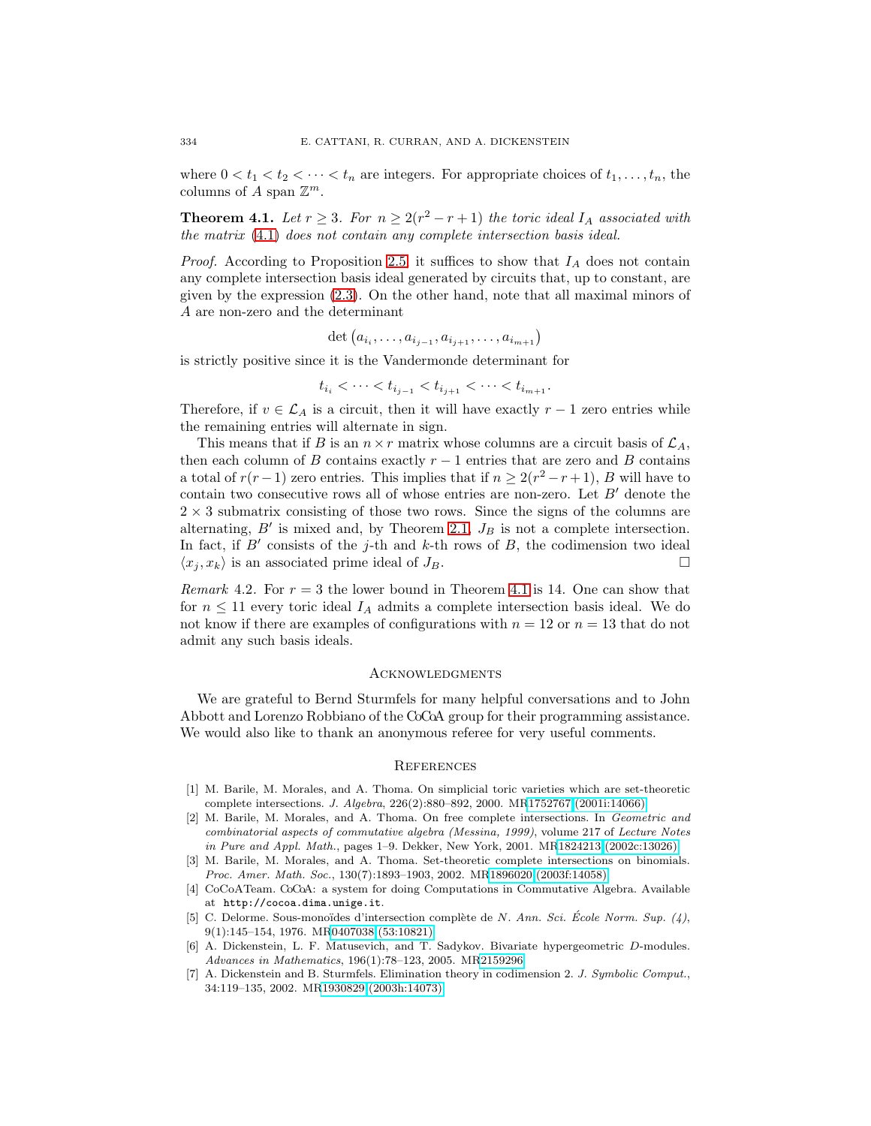<span id="page-5-7"></span>where  $0 < t_1 < t_2 < \cdots < t_n$  are integers. For appropriate choices of  $t_1, \ldots, t_n$ , the columns of A span  $\mathbb{Z}^m$ .

**Theorem 4.1.** Let  $r \geq 3$ . For  $n \geq 2(r^2 - r + 1)$  the toric ideal  $I_A$  associated with the matrix [\(4.1\)](#page-4-2) does not contain any complete intersection basis ideal.

*Proof.* According to Proposition [2.5,](#page-3-1) it suffices to show that  $I_A$  does not contain any complete intersection basis ideal generated by circuits that, up to constant, are given by the expression [\(2.3\)](#page-2-2). On the other hand, note that all maximal minors of A are non-zero and the determinant

$$
\det (a_{i_1}, \ldots, a_{i_{j-1}}, a_{i_{j+1}}, \ldots, a_{i_{m+1}})
$$

is strictly positive since it is the Vandermonde determinant for

$$
t_{i_i} < \cdots < t_{i_{j-1}} < t_{i_{j+1}} < \cdots < t_{i_{m+1}}.
$$

Therefore, if  $v \in \mathcal{L}_A$  is a circuit, then it will have exactly  $r-1$  zero entries while the remaining entries will alternate in sign.

This means that if B is an  $n \times r$  matrix whose columns are a circuit basis of  $\mathcal{L}_A$ , then each column of B contains exactly  $r - 1$  entries that are zero and B contains a total of  $r(r-1)$  zero entries. This implies that if  $n \geq 2(r^2 - r + 1)$ , B will have to contain two consecutive rows all of whose entries are non-zero. Let  $B'$  denote the  $2 \times 3$  submatrix consisting of those two rows. Since the signs of the columns are alternating,  $B'$  is mixed and, by Theorem [2.1,](#page-2-1)  $J_B$  is not a complete intersection. In fact, if B' consists of the j-th and k-th rows of B, the codimension two ideal  $\langle x_j, x_k \rangle$  is an associated prime ideal of  $J_B$ .

*Remark* 4.2. For  $r = 3$  the lower bound in Theorem [4.1](#page-5-7) is 14. One can show that for  $n \leq 11$  every toric ideal  $I_A$  admits a complete intersection basis ideal. We do not know if there are examples of configurations with  $n = 12$  or  $n = 13$  that do not admit any such basis ideals.

### **ACKNOWLEDGMENTS**

We are grateful to Bernd Sturmfels for many helpful conversations and to John Abbott and Lorenzo Robbiano of the CoCoA group for their programming assistance. We would also like to thank an anonymous referee for very useful comments.

### **REFERENCES**

- <span id="page-5-3"></span>[1] M. Barile, M. Morales, and A. Thoma. On simplicial toric varieties which are set-theoretic complete intersections. J. Algebra, 226(2):880–892, 2000. M[R1752767 \(2001i:14066\)](http://www.ams.org/mathscinet-getitem?mr=1752767)
- <span id="page-5-4"></span>[2] M. Barile, M. Morales, and A. Thoma. On free complete intersections. In Geometric and combinatorial aspects of commutative algebra (Messina, 1999), volume 217 of Lecture Notes in Pure and Appl. Math., pages 1–9. Dekker, New York, 2001. M[R1824213 \(2002c:13026\)](http://www.ams.org/mathscinet-getitem?mr=1824213)
- <span id="page-5-5"></span>[3] M. Barile, M. Morales, and A. Thoma. Set-theoretic complete intersections on binomials. Proc. Amer. Math. Soc., 130(7):1893–1903, 2002. M[R1896020 \(2003f:14058\)](http://www.ams.org/mathscinet-getitem?mr=1896020)
- <span id="page-5-6"></span>[4] CoCoATeam. CoCoA: a system for doing Computations in Commutative Algebra. Available at http://cocoa.dima.unige.it.
- <span id="page-5-2"></span>[5] C. Delorme. Sous-monoïdes d'intersection complète de N. Ann. Sci. École Norm. Sup.  $(4)$ , 9(1):145–154, 1976. M[R0407038 \(53:10821\)](http://www.ams.org/mathscinet-getitem?mr=0407038)
- <span id="page-5-1"></span>[6] A. Dickenstein, L. F. Matusevich, and T. Sadykov. Bivariate hypergeometric D-modules. Advances in Mathematics, 196(1):78–123, 2005. M[R2159296](http://www.ams.org/mathscinet-getitem?mr=2159296)
- <span id="page-5-0"></span>[7] A. Dickenstein and B. Sturmfels. Elimination theory in codimension 2. J. Symbolic Comput., 34:119–135, 2002. M[R1930829 \(2003h:14073\)](http://www.ams.org/mathscinet-getitem?mr=1930829)